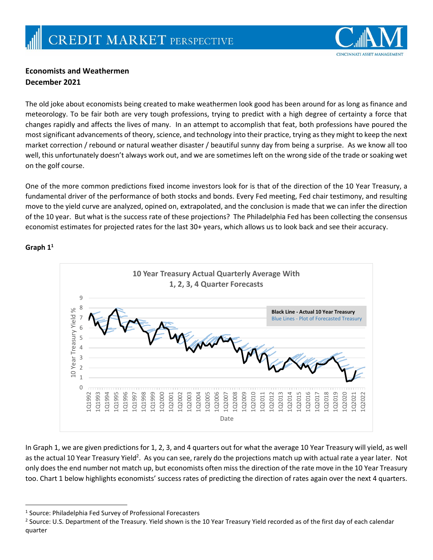

## **Economists and Weathermen December 2021**

The old joke about economists being created to make weathermen look good has been around for as long as finance and meteorology. To be fair both are very tough professions, trying to predict with a high degree of certainty a force that changes rapidly and affects the lives of many. In an attempt to accomplish that feat, both professions have poured the most significant advancements of theory, science, and technology into their practice, trying as they might to keep the next market correction / rebound or natural weather disaster / beautiful sunny day from being a surprise. As we know all too well, this unfortunately doesn't always work out, and we are sometimes left on the wrong side of the trade or soaking wet on the golf course.

One of the more common predictions fixed income investors look for is that of the direction of the 10 Year Treasury, a fundamental driver of the performance of both stocks and bonds. Every Fed meeting, Fed chair testimony, and resulting move to the yield curve are analyzed, opined on, extrapolated, and the conclusion is made that we can infer the direction of the 10 year. But what is the success rate of these projections? The Philadelphia Fed has been collecting the consensus economist estimates for projected rates for the last 30+ years, which allows us to look back and see their accuracy.



**Graph 1 1**

 $\overline{\phantom{a}}$ 

In Graph 1, we are given predictions for 1, 2, 3, and 4 quarters out for what the average 10 Year Treasury will yield, as well as the actual 10 Year Treasury Yield<sup>2</sup>. As you can see, rarely do the projections match up with actual rate a year later. Not only does the end number not match up, but economists often miss the direction of the rate move in the 10 Year Treasury too. Chart 1 below highlights economists' success rates of predicting the direction of rates again over the next 4 quarters.

<sup>&</sup>lt;sup>1</sup> Source: Philadelphia Fed Survey of Professional Forecasters

<sup>&</sup>lt;sup>2</sup> Source: U.S. Department of the Treasury. Yield shown is the 10 Year Treasury Yield recorded as of the first day of each calendar quarter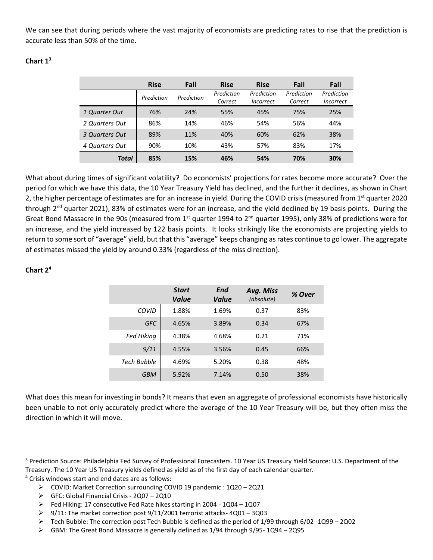We can see that during periods where the vast majority of economists are predicting rates to rise that the prediction is accurate less than 50% of the time.

## **Chart 1<sup>3</sup>**

|                | <b>Rise</b> | Fall       | <b>Rise</b>           | <b>Rise</b>                    | Fall                  | Fall                           |
|----------------|-------------|------------|-----------------------|--------------------------------|-----------------------|--------------------------------|
|                | Prediction  | Prediction | Prediction<br>Correct | Prediction<br><i>Incorrect</i> | Prediction<br>Correct | Prediction<br><i>Incorrect</i> |
| 1 Quarter Out  | 76%         | 24%        | 55%                   | 45%                            | 75%                   | 25%                            |
| 2 Quarters Out | 86%         | 14%        | 46%                   | 54%                            | 56%                   | 44%                            |
| 3 Quarters Out | 89%         | 11%        | 40%                   | 60%                            | 62%                   | 38%                            |
| 4 Quarters Out | 90%         | 10%        | 43%                   | 57%                            | 83%                   | 17%                            |
| Total          | 85%         | 15%        | 46%                   | 54%                            | 70%                   | 30%                            |

What about during times of significant volatility? Do economists' projections for rates become more accurate? Over the period for which we have this data, the 10 Year Treasury Yield has declined, and the further it declines, as shown in Chart 2, the higher percentage of estimates are for an increase in yield. During the COVID crisis (measured from 1<sup>st</sup> quarter 2020 through  $2^{nd}$  quarter 2021), 83% of estimates were for an increase, and the yield declined by 19 basis points. During the Great Bond Massacre in the 90s (measured from  $1^{st}$  quarter 1994 to  $2^{nd}$  quarter 1995), only 38% of predictions were for an increase, and the yield increased by 122 basis points. It looks strikingly like the economists are projecting yields to return to some sort of "average" yield, but that this "average" keeps changing as rates continue to go lower. The aggregate of estimates missed the yield by around 0.33% (regardless of the miss direction).

|             | <b>Start</b><br>Value | End<br>Value | Avg. Miss<br>(absolute) | % Over |
|-------------|-----------------------|--------------|-------------------------|--------|
| COVID       | 1.88%                 | 1.69%        | 0.37                    | 83%    |
| <b>GFC</b>  | 4.65%                 | 3.89%        | 0.34                    | 67%    |
| Fed Hiking  | 4.38%                 | 4.68%        | 0.21                    | 71%    |
| 9/11        | 4.55%                 | 3.56%        | 0.45                    | 66%    |
| Tech Bubble | 4.69%                 | 5.20%        | 0.38                    | 48%    |
| <b>GBM</b>  | 5.92%                 | 7.14%        | 0.50                    | 38%    |

## **Chart 2<sup>4</sup>**

 $\overline{\phantom{a}}$ 

What does this mean for investing in bonds? It means that even an aggregate of professional economists have historically been unable to not only accurately predict where the average of the 10 Year Treasury will be, but they often miss the direction in which it will move.

<sup>&</sup>lt;sup>3</sup> Prediction Source: Philadelphia Fed Survey of Professional Forecasters. 10 Year US Treasury Yield Source: U.S. Department of the Treasury. The 10 Year US Treasury yields defined as yield as of the first day of each calendar quarter. <sup>4</sup> Crisis windows start and end dates are as follows:

COVID: Market Correction surrounding COVID 19 pandemic : 1Q20 – 2Q21

GFC: Global Financial Crisis - 2Q07 – 2Q10

Fed Hiking: 17 consecutive Fed Rate hikes starting in 2004 - 1Q04 – 1Q07

 $\triangleright$  9/11: The market correction post 9/11/2001 terrorist attacks-4Q01 – 3Q03

 $\triangleright$  Tech Bubble: The correction post Tech Bubble is defined as the period of 1/99 through 6/02 -1Q99 – 2Q02

GBM: The Great Bond Massacre is generally defined as 1/94 through 9/95- 1Q94 – 2Q95